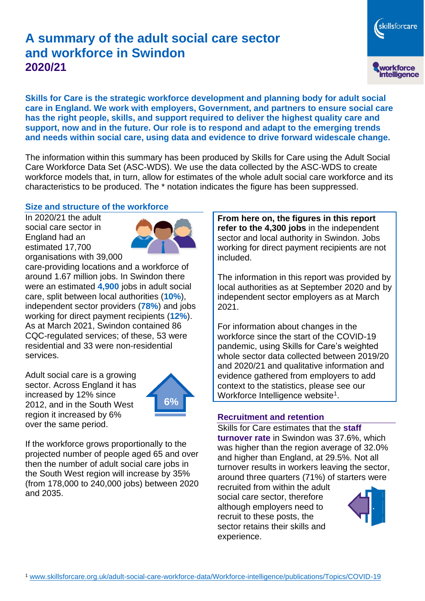# **A summary of the adult social care sector and workforce in Swindon 2020/21**

workforce<br>intelligence

skillsforcare

**Skills for Care is the strategic workforce development and planning body for adult social care in England. We work with employers, Government, and partners to ensure social care has the right people, skills, and support required to deliver the highest quality care and support, now and in the future. Our role is to respond and adapt to the emerging trends and needs within social care, using data and evidence to drive forward widescale change.**

The information within this summary has been produced by Skills for Care using the Adult Social Care Workforce Data Set (ASC-WDS). We use the data collected by the ASC-WDS to create workforce models that, in turn, allow for estimates of the whole adult social care workforce and its characteristics to be produced. The \* notation indicates the figure has been suppressed.

#### **Size and structure of the workforce**

In 2020/21 the adult social care sector in England had an estimated 17,700 organisations with 39,000



care-providing locations and a workforce of around 1.67 million jobs. In Swindon there were an estimated **4,900** jobs in adult social care, split between local authorities (**10%**), independent sector providers (**78%**) and jobs working for direct payment recipients (**12%**). As at March 2021, Swindon contained 86 CQC-regulated services; of these, 53 were residential and 33 were non-residential services.

Adult social care is a growing sector. Across England it has increased by 12% since 2012, and in the South West region it increased by 6% over the same period.



If the workforce grows proportionally to the projected number of people aged 65 and over then the number of adult social care jobs in the South West region will increase by 35% (from 178,000 to 240,000 jobs) between 2020 and 2035.

**From here on, the figures in this report refer to the 4,300 jobs** in the independent sector and local authority in Swindon. Jobs working for direct payment recipients are not included.

The information in this report was provided by local authorities as at September 2020 and by independent sector employers as at March 2021.

For information about changes in the workforce since the start of the COVID-19 pandemic, using Skills for Care's weighted whole sector data collected between 2019/20 and 2020/21 and qualitative information and evidence gathered from employers to add context to the statistics, please see our Workforce Intelligence website<sup>1</sup>.

#### **Recruitment and retention**

Skills for Care estimates that the **staff turnover rate** in Swindon was 37.6%, which was higher than the region average of 32.0% and higher than England, at 29.5%. Not all turnover results in workers leaving the sector, around three quarters (71%) of starters were

recruited from within the adult social care sector, therefore although employers need to recruit to these posts, the sector retains their skills and experience.

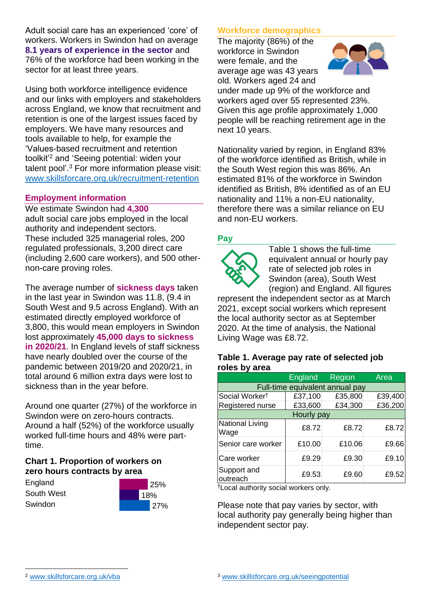Adult social care has an experienced 'core' of workers. Workers in Swindon had on average **8.1 years of experience in the sector** and 76% of the workforce had been working in the sector for at least three years.

Using both workforce intelligence evidence and our links with employers and stakeholders across England, we know that recruitment and retention is one of the largest issues faced by employers. We have many resources and tools available to help, for example the 'Values-based recruitment and retention toolkit'<sup>2</sup> and 'Seeing potential: widen your talent pool'. <sup>3</sup> For more information please visit: [www.skillsforcare.org.uk/recruitment-retention](http://www.skillsforcare.org.uk/recruitment-retention)

#### **Employment information**

We estimate Swindon had **4,300** adult social care jobs employed in the local authority and independent sectors. These included 325 managerial roles, 200 regulated professionals, 3,200 direct care (including 2,600 care workers), and 500 othernon-care proving roles.

The average number of **sickness days** taken in the last year in Swindon was 11.8, (9.4 in South West and 9.5 across England). With an estimated directly employed workforce of 3,800, this would mean employers in Swindon lost approximately **45,000 days to sickness in 2020/21**. In England levels of staff sickness have nearly doubled over the course of the pandemic between 2019/20 and 2020/21, in total around 6 million extra days were lost to sickness than in the year before.

Around one quarter (27%) of the workforce in Swindon were on zero-hours contracts. Around a half (52%) of the workforce usually worked full-time hours and 48% were parttime.

### **Chart 1. Proportion of workers on zero hours contracts by area**

| England    |  |
|------------|--|
| South West |  |
| Swindon    |  |



### **Workforce demographics**

The majority (86%) of the workforce in Swindon were female, and the average age was 43 years old. Workers aged 24 and



under made up 9% of the workforce and workers aged over 55 represented 23%. Given this age profile approximately 1,000 people will be reaching retirement age in the next 10 years.

Nationality varied by region, in England 83% of the workforce identified as British, while in the South West region this was 86%. An estimated 81% of the workforce in Swindon identified as British, 8% identified as of an EU nationality and 11% a non-EU nationality, therefore there was a similar reliance on EU and non-EU workers.

### **Pay**



Table 1 shows the full-time equivalent annual or hourly pay rate of selected job roles in Swindon (area), South West (region) and England. All figures

represent the independent sector as at March 2021, except social workers which represent the local authority sector as at September 2020. At the time of analysis, the National Living Wage was £8.72.

#### **Table 1. Average pay rate of selected job roles by area**

|                                 | <b>England</b> | <b>Region</b> | Area    |  |
|---------------------------------|----------------|---------------|---------|--|
| Full-time equivalent annual pay |                |               |         |  |
| Social Worker <sup>t</sup>      | £37,100        | £35,800       | £39,400 |  |
| Registered nurse                | £33,600        | £34,300       | £36,200 |  |
| Hourly pay                      |                |               |         |  |
| National Living<br>Wage         | £8.72          | £8.72         | £8.72   |  |
| Senior care worker              | £10.00         | £10.06        | £9.66   |  |
| Care worker                     | £9.29          | £9.30         | £9.10   |  |
| Support and<br>outreach         | £9.53          | £9.60         | £9.52   |  |

†Local authority social workers only.

Please note that pay varies by sector, with local authority pay generally being higher than independent sector pay.